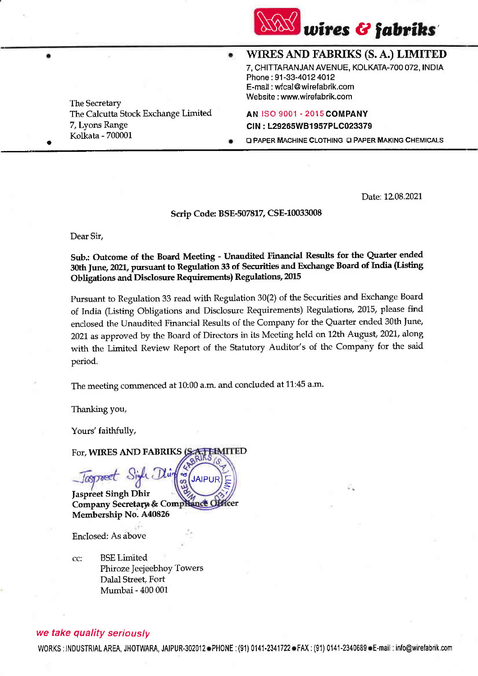

. . WIRESAND FABRIKS (S.A.) LIMITED 7, CHITTARANJAN AVENUE, KOLKATA-7OO 072, INDIA

Phone : 91-33-4012 4012 E-mail: wfcal@wirefabrik.com Website : www.wirefabrik.com

The Calcutta Stock Exchange Limited **AN ISO 9001 - 2015 COMPANY** 7, Lyons Range CIN : L29265WB1957PLC023379

LI PAPER MACHINE CLOTHING LI PAPER MAKING CHEMICALS

Date:12.08.2027

## Scrip Code: BSE-507817, CSE-10033008

Dear Sir,

The SecretarY

Kolkata - 700001

## sub,: outcome of the Board Meeting - Unaudited Financial Results for the Quarter ended 30th June, 2021, pursuant to Regulation 33 of Securities and Exchange Board of India (Listing Obligations and Disclosure Requirements) Regulations, 2Ol5

Pursuant to Regulation 33 read with Regulation 30(2) of the Securities and Exchange Board of India (Listing obligations and Disclosure Requirements) Regulations, 2015, please find enclosed the Unaudited Financial Results of the Company for the Quarter ended 30th June, 2021 as approved by the Board of Directors in its Meeting held on 12th August, 2021, along with the Limited Review Report of the Statutory Auditor's of the Company for the said period.

The meeting commenced at 10:00 a.m. and concluded at 11:45 a.m.

JAIPU

 $\tilde{z}$ 

Ihanking you,

Yours' faithfully,

Jaspreet Singh Dhir

Toeet

Enclosed: As above

Membership No. A40825

BSE Limited

Dalal Street, Fort Mumbai - 400 001

For, WIRES AND FABRIKS (S **EIMITED** 

Company Secretary & Compilance Officer

Phiroze Jeejeebhoy Towers

Sigh Dhi

we take quality seriously

cc:

WORKS : INDUSTRIAL AREA, JHOTWARA, JAIPUR-302012 PHONE : (91) 0141-2341722 PFAX : (91) 0141-2340689 PE-mail : info@wirefabrik.com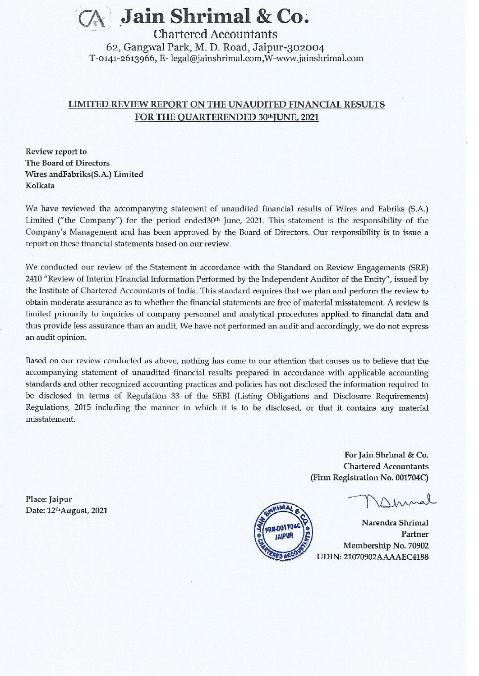

62, Gangwal Park, M. D. Road, Jaipur-302004 T-0141-2613966, E- legal@jainshrimal.com, W-www.jainshrimal.com

## LIMITED REVIEW REPORT ON THE UNAUDITED FINANCIAL RESULTS FOR THE QUARTERENDED 30th JUNE, 2021

Review report to The Board of Directors Wires and Fabriks(S.A.) Limited Kolkata

We have reviewed the accompanying statement of unaudited financial results of Wires and Fabriks (S.A.) Limited ("the Company") for the period ended30<sup>th</sup> June, 2021. This statement is the responsibility of the Company's Management and has been approved by the Board of Directors. Our responsibility is to issue a report on these financial statements based on our review.

We conducted our review of the Statement in accordance with the Standard on Review Engagements (SRE) 2410 "Review of Interim Financial Information Performed by the Independent Auditor of the Entity", issued by the Institute of Chartered Accountants of India. This standard requires that we plan and perform the review to obtain moderate assurance as to whether the financial statements are free of material misstatement. A review is limited primarily to inquiries of company personnel and analytical procedures applied to financial data and thus provide less assurance than an audit. We have not performed an audit and accordingly, we do not express an audit opinion.

Based on our review conducted as above, nothing has come to our attention that causes us to believe that the accompanying statement of unaudited financial results prepared in accordance with applicable accounting standards and other recognized accounting practices and policies has not disclosed the information required to be disclosed in terms of Regulation 33 of the SEBI (Listing Obligations and Disclosure Requirements) Regulations, 2015 including the manner in which it is to be disclosed, or that it contains any material misstatement.

> For Jain Shrimal & Co. **Chartered Accountants** (Firm Registration No. 001704C)

Narendra Shrimal Partner Membership No. 70902 UDIN: 21070902AAAAEC4188

Place: Jaipur Date: 12thAugust, 2021